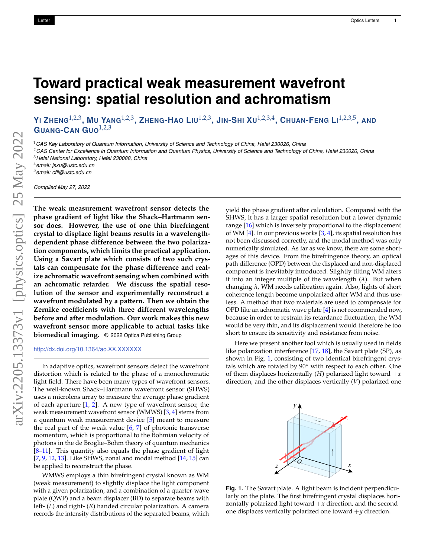## **Toward practical weak measurement wavefront sensing: spatial resolution and achromatism**

YI ZHENG $^{1,2,3}$ , MU YANG $^{1,2,3}$ , ZHENG-HAO LIU $^{1,2,3}$ , JIN-SHI XU $^{1,2,3,4}$ , CHUAN-FENG LI $^{1,2,3,5}$ , AND **GUANG-CAN GUO**1,2,3

<sup>1</sup>*CAS Key Laboratory of Quantum Information, University of Science and Technology of China, Hefei 230026, China*

<sup>2</sup>*CAS Center for Excellence in Quantum Information and Quantum Physics, University of Science and Technology of China, Hefei 230026, China* <sup>3</sup>*Hefei National Laboratory, Hefei 230088, China*

<sup>4</sup>*email: jsxu@ustc.edu.cn*

<sup>5</sup>*email: cfli@ustc.edu.cn*

*Compiled May 27, 2022*

**The weak measurement wavefront sensor detects the phase gradient of light like the Shack–Hartmann sensor does. However, the use of one thin birefringent crystal to displace light beams results in a wavelengthdependent phase difference between the two polarization components, which limits the practical application. Using a Savart plate which consists of two such crystals can compensate for the phase difference and realize achromatic wavefront sensing when combined with an achromatic retarder. We discuss the spatial resolution of the sensor and experimentally reconstruct a wavefront modulated by a pattern. Then we obtain the Zernike coefficients with three different wavelengths before and after modulation. Our work makes this new wavefront sensor more applicable to actual tasks like biomedical imaging.** © 2022 Optica Publishing Group

## <http://dx.doi.org/10.1364/ao.XX.XXXXXX>

In adaptive optics, wavefront sensors detect the wavefront distortion which is related to the phase of a monochromatic light field. There have been many types of wavefront sensors. The well-known Shack–Hartmann wavefront sensor (SHWS) uses a microlens array to measure the average phase gradient of each aperture [\[1,](#page-3-0) [2\]](#page-3-1). A new type of wavefront sensor, the weak measurement wavefront sensor (WMWS) [\[3,](#page-3-2) [4\]](#page-3-3) stems from a quantum weak measurement device [\[5\]](#page-3-4) meant to measure the real part of the weak value  $[6, 7]$  $[6, 7]$  $[6, 7]$  of photonic transverse momentum, which is proportional to the Bohmian velocity of photons in the de Broglie–Bohm theory of quantum mechanics [\[8](#page-3-7)[–11\]](#page-3-8). This quantity also equals the phase gradient of light [\[7,](#page-3-6) [9,](#page-3-9) [12,](#page-3-10) [13\]](#page-3-11). Like SHWS, zonal and modal method [\[14,](#page-3-12) [15\]](#page-3-13) can be applied to reconstruct the phase.

WMWS employs a thin birefringent crystal known as WM (weak measurement) to slightly displace the light component with a given polarization, and a combination of a quarter-wave plate (QWP) and a beam displacer (BD) to separate beams with left- (*L*) and right- (*R*) handed circular polarization. A camera records the intensity distributions of the separated beams, which yield the phase gradient after calculation. Compared with the SHWS, it has a larger spatial resolution but a lower dynamic range [\[16\]](#page-3-14) which is inversely proportional to the displacement of WM [\[4\]](#page-3-3). In our previous works [\[3,](#page-3-2) [4\]](#page-3-3), its spatial resolution has not been discussed correctly, and the modal method was only numerically simulated. As far as we know, there are some shortages of this device. From the birefringence theory, an optical path difference (OPD) between the displaced and non-displaced component is inevitably introduced. Slightly tilting WM alters it into an integer multiple of the wavelength (*λ*). But when changing *λ*, WM needs calibration again. Also, lights of short coherence length become unpolarized after WM and thus useless. A method that two materials are used to compensate for OPD like an achromatic wave plate [\[4\]](#page-3-3) is not recommended now, because in order to restrain its retardance fluctuation, the WM would be very thin, and its displacement would therefore be too short to ensure its sensitivity and resistance from noise.

Here we present another tool which is usually used in fields like polarization interference [\[17,](#page-3-15) [18\]](#page-3-16), the Savart plate (SP), as shown in Fig. [1,](#page-0-0) consisting of two identical birefringent crystals which are rotated by 90◦ with respect to each other. One of them displaces horizontally  $(H)$  polarized light toward  $+x$ direction, and the other displaces vertically (*V*) polarized one

<span id="page-0-0"></span>

**Fig. 1.** The Savart plate. A light beam is incident perpendicularly on the plate. The first birefringent crystal displaces horizontally polarized light toward  $+x$  direction, and the second one displaces vertically polarized one toward +*y* direction.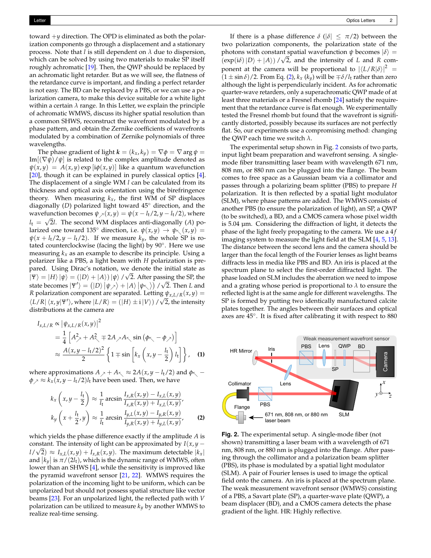toward +*y* direction. The OPD is eliminated as both the polarization components go through a displacement and a stationary process. Note that *l* is still dependent on *λ* due to dispersion, which can be solved by using two materials to make SP itself roughly achromatic [\[19\]](#page-3-17). Then, the QWP should be replaced by an achromatic light retarder. But as we will see, the flatness of the retardance curve is important, and finding a perfect retarder is not easy. The BD can be replaced by a PBS, or we can use a polarization camera, to make this device suitable for a white light within a certain  $\lambda$  range. In this Letter, we explain the principle of achromatic WMWS, discuss its higher spatial resolution than a common SHWS, reconstruct the wavefront modulated by a phase pattern, and obtain the Zernike coefficients of wavefronts modulated by a combination of Zernike polynomials of three wavelengths.

The phase gradient of light  $\mathbf{k} = (k_x, k_y) = \nabla \phi = \nabla \arg \psi =$ Im $[(\nabla \psi)/\psi]$  is related to the complex amplitude denoted as  $\psi(x, y) = A(x, y) \exp[i\phi(x, y)]$  like a quantum wavefunction [\[20\]](#page-3-18), though it can be explained in purely classical optics [\[4\]](#page-3-3). The displacement of a single WM *l* can be calculated from its thickness and optical axis orientation using the birefringence theory. When measuring  $k_x$ , the first WM of SP displaces diagonally (*D*) polarized light toward 45◦ direction, and the wavefunction becomes  $\psi_{\chi}(x, y) = \psi(x - l_t/2, y - l_t/2)$ , where  $l_{\rm t} = \sqrt{2l}$ . The second WM displaces anti-diagonally (A) polarized one toward 135 $^{\circ}$  direction, i.e.  $\psi(x, y) \rightarrow \psi_{\nwarrow}(x, y) =$  $\psi(x + l_t/2, y - l_t/2)$ . If we measure  $k_y$ , the whole SP is rotated counterclockwise (facing the light) by 90◦ . Here we use measuring  $k_x$  as an example to describe its principle. Using a polarizer like a PBS, a light beam with *H* polarization is prepared. Using Dirac's notation, we denote the initial state as  $|\Psi\rangle = |H\rangle |\psi\rangle = (|D\rangle + |A\rangle)|\psi\rangle / \sqrt{2}$ . After passing the SP, the state becomes  $|\Psi'\rangle = (|D\rangle |\psi_{\rangle}\rangle + |A\rangle |\psi_{\rangle}\rangle)/\sqrt{2}$ . Then *L* and *R* polarization component are separated. Letting  $\psi_{x,L/R}(x, y) =$  $\langle L/R | \langle x, y | \Psi' \rangle$ , where  $|L/R \rangle = (|H \rangle \pm i |V \rangle) / \sqrt{2}$ , the intensity distributions at the camera are

$$
I_{x,L/R} \propto |\psi_{x,L/R}(x,y)|^2
$$
  
=  $\frac{1}{4} \left[ A_{\nearrow}^2 + A_{\nwarrow}^2 \mp 2A_{\nearrow} A_{\nwarrow} \sin (\phi_{\nwarrow} - \phi_{\nearrow}) \right]$   

$$
\approx \frac{A(x,y - l_t/2)^2}{2} \left\{ 1 \mp \sin \left[ k_x \left( x, y - \frac{l_t}{2} \right) l_t \right] \right\}, \quad (1)
$$

where approximations  $A_{\gamma} + A_{\zeta} \approx 2A(x, y - l_{\zeta}/2)$  and  $\phi_{\zeta}$  –  $\phi \rightarrow \approx k_x(x, y - l_t/2)l_t$  have been used. Then, we have

$$
k_x \left(x, y - \frac{l_\mathsf{t}}{2}\right) \approx \frac{1}{l_\mathsf{t}} \arcsin \frac{I_{x,R}(x, y) - I_{x,L}(x, y)}{I_{x,R}(x, y) + I_{x,L}(x, y)},
$$
  

$$
k_y \left(x + \frac{l_\mathsf{t}}{2}, y\right) \approx \frac{1}{l_\mathsf{t}} \arcsin \frac{I_{y,L}(x, y) - I_{y,R}(x, y)}{I_{y,R}(x, y) + I_{y,L}(x, y)},
$$
 (2)

which yields the phase difference exactly if the amplitude *A* is constant. The intensity of light can be approximated by  $I(x, y - y)$  $l/\sqrt{2}$   $\approx$   $I_{x,L}(x,y) + I_{x,R}(x,y)$ . The maximum detectable  $|k_x|$ and  $|k_y|$  is  $\pi/(2l_t)$ , which is the dynamic range of WMWS, often lower than an SHWS [\[4\]](#page-3-3), while the sensitivity is improved like the pyramid wavefront sensor [\[21,](#page-3-19) [22\]](#page-3-20). WMWS requires the polarization of the incoming light to be uniform, which can be unpolarized but should not possess spatial structure like vector beams [\[23\]](#page-3-21). For an unpolarized light, the reflected path with *V* polarization can be utilized to measure  $k_y$  by another WMWS to realize real-time sensing.

If there is a phase difference  $\delta$  ( $|\delta| \leq \pi/2$ ) between the two polarization components, the polarization state of the photons with constant spatial wavefunction  $\psi$  becomes  $|\delta\rangle$  =  $(\exp(i\delta)|D\rangle + |A\rangle) / \sqrt{2}$ , and the intensity of *L* and *R* component at the camera will be proportional to  $|\langle L/R|\delta\rangle|^2$  =  $(1 \pm \sin \delta)/2$ . From Eq. [\(2\)](#page-1-0),  $k_x$  ( $k_y$ ) will be  $\mp \delta/l_t$  rather than zero although the light is perpendicularly incident. As for achromatic quarter-wave retarders, only a superachromatic QWP made of at least three materials or a Fresnel rhomb [\[24\]](#page-3-22) satisfy the requirement that the retardance curve is flat enough. We experimentally tested the Fresnel rhomb but found that the wavefront is significantly distorted, possibly because its surfaces are not perfectly flat. So, our experiments use a compromising method: changing the QWP each time we switch *λ*.

The experimental setup shown in Fig. [2](#page-1-1) consists of two parts, input light beam preparation and wavefront sensing. A singlemode fiber transmitting laser beam with wavelength 671 nm, 808 nm, or 880 nm can be plugged into the flange. The beam comes to free space as a Gaussian beam via a collimator and passes through a polarizing beam splitter (PBS) to prepare *H* polarization. It is then reflected by a spatial light modulator (SLM), where phase patterns are added. The WMWS consists of another PBS (to ensure the polarization of light), an SP, a QWP (to be switched), a BD, and a CMOS camera whose pixel width is 5.04 µm. Considering the diffraction of light, it detects the phase of the light freely propagating to the camera. We use a 4 *f* imaging system to measure the light field at the SLM [\[4,](#page-3-3) [5,](#page-3-4) [13\]](#page-3-11). The distance between the second lens and the camera should be larger than the focal length of the Fourier lenses as light beams diffracts less in media like PBS and BD. An iris is placed at the spectrum plane to select the first-order diffracted light. The phase loaded on SLM includes the aberration we need to impose and a grating whose period is proportional to *λ* to ensure the reflected light is at the same angle for different wavelengths. The SP is formed by putting two identically manufactured calcite plates together. The angles between their surfaces and optical axes are 45◦ . It is fixed after calibrating it with respect to 880

<span id="page-1-1"></span>

<span id="page-1-0"></span>**Fig. 2.** The experimental setup. A single-mode fiber (not shown) transmitting a laser beam with a wavelength of 671 nm, 808 nm, or 880 nm is plugged into the flange. After passing through the collimator and a polarization beam splitter (PBS), its phase is modulated by a spatial light modulator (SLM). A pair of Fourier lenses is used to image the optical field onto the camera. An iris is placed at the spectrum plane. The weak measurement wavefront sensor (WMWS) consisting of a PBS, a Savart plate (SP), a quarter-wave plate (QWP), a beam displacer (BD), and a CMOS camera detects the phase gradient of the light. HR: Highly reflective.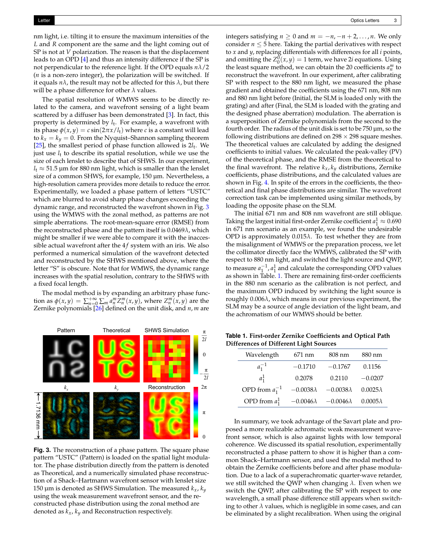nm light, i.e. tilting it to ensure the maximum intensities of the *L* and *R* component are the same and the light coming out of SP is not at *V* polarization. The reason is that the displacement leads to an OPD [\[4\]](#page-3-3) and thus an intensity difference if the SP is not perpendicular to the reference light. If the OPD equals *nλ*/2 (*n* is a non-zero integer), the polarization will be switched. If it equals  $n\lambda$ , the result may not be affected for this  $\lambda$ , but there will be a phase difference for other *λ* values.

The spatial resolution of WMWS seems to be directly related to the camera, and wavefront sensing of a light beam scattered by a diffuser has been demonstrated [\[3\]](#page-3-2). In fact, this property is determined by *l*t . For example, a wavefront with its phase  $\phi(x, y) = c \sin(2\pi x/l_t)$  where *c* is a constant will lead to  $k_x = k_y = 0$ . From the Nyquist–Shannon sampling theorem [ $25$ ], the smallest period of phase function allowed is  $2l_t$ . We just use  $l_t$  to describe its spatial resolution, while we use the size of each lenslet to describe that of SHWS. In our experiment,  $l_t \approx 51.5$  µm for 880 nm light, which is smaller than the lenslet size of a common SHWS, for example, 150 µm. Nevertheless, a high-resolution camera provides more details to reduce the error. Experimentally, we loaded a phase pattern of letters "USTC" which are blurred to avoid sharp phase changes exceeding the dynamic range, and reconstructed the wavefront shown in Fig. [3](#page-2-0) using the WMWS with the zonal method, as patterns are not simple aberrations. The root-mean-square error (RMSE) from the reconstructed phase and the pattern itself is 0.0469*λ*, which might be smaller if we were able to compare it with the inaccessible actual wavefront after the  $4f$  system with an iris. We also performed a numerical simulation of the wavefront detected and reconstructed by the SHWS mentioned above, where the letter "S" is obscure. Note that for WMWS, the dynamic range increases with the spatial resolution, contrary to the SHWS with a fixed focal length.

The modal method is by expanding an arbitrary phase function as  $\phi(x, y) = \sum_{n=0}^{+\infty} \sum_{m} a_n^m Z_n^m(x, y)$ , where  $Z_n^m(x, y)$  are the Zernike polynomials [\[26\]](#page-3-24) defined on the unit disk, and *n*, *m* are

<span id="page-2-0"></span>

**Fig. 3.** The reconstruction of a phase pattern. The square phase pattern "USTC" (Pattern) is loaded on the spatial light modulator. The phase distribution directly from the pattern is denoted as Theoretical, and a numerically simulated phase reconstruction of a Shack–Hartmann wavefront sensor with lenslet size 150 µm is denoted as SHWS Simulation. The measured  $k_x$ ,  $k_y$ using the weak measurement wavefront sensor, and the reconstructed phase distribution using the zonal method are denoted as *kx*, *ky* and Reconstruction respectively.

integers satisfying *n* ≥ 0 and *m* =  $-n$ ,  $-n+2$ , ..., *n*. We only consider  $n \leq 5$  here. Taking the partial derivatives with respect to *x* and *y*, replacing differentials with differences for all *i* points, and omitting the  $Z_0^0(x, y) = 1$  term, we have 2*i* equations. Using the least square method, we can obtain the 20 coefficients  $a_n^m$  to reconstruct the wavefront. In our experiment, after calibrating SP with respect to the 880 nm light, we measured the phase gradient and obtained the coefficients using the 671 nm, 808 nm and 880 nm light before (Initial, the SLM is loaded only with the grating) and after (Final, the SLM is loaded with the grating and the designed phase aberration) modulation. The aberration is a superposition of Zernike polynomials from the second to the fourth order. The radius of the unit disk is set to be  $750 \,\mu m$ , so the following distributions are defined on  $298 \times 298$  square meshes. The theoretical values are calculated by adding the designed coefficients to initial values. We calculated the peak-valley (PV) of the theoretical phase, and the RMSE from the theoretical to the final wavefront. The relative  $k_x, k_y$  distributions, Zernike coefficients, phase distributions, and the calculated values are shown in Fig. [4.](#page-3-25) In spite of the errors in the coefficients, the theoretical and final phase distributions are similar. The wavefront correction task can be implemented using similar methods, by loading the opposite phase on the SLM.

The initial 671 nm and 808 nm wavefront are still oblique. Taking the largest initial first-order Zernike coefficient  $a_1^1 \approx 0.690$ in 671 nm scenario as an example, we found the undesirable OPD is approximately 0.015*λ*. To test whether they are from the misalignment of WMWS or the preparation process, we let the collimator directly face the WMWS, calibrated the SP with respect to 880 nm light, and switched the light source and QWP, to measure  $a_1^{-1}$ ,  $a_1^1$  and calculate the corresponding OPD values as shown in Table. [1.](#page-2-1) There are remaining first-order coefficients in the 880 nm scenario as the calibration is not perfect, and the maximum OPD induced by switching the light source is roughly 0.006*λ*, which means in our previous experiment, the SLM may be a source of angle deviation of the light beam, and the achromatism of our WMWS should be better.

<span id="page-2-1"></span>2*l* **Table 1. First-order Zernike Coefficients and Optical Path Differences of Different Light Sources**

| $\overline{0}$    | Wavelength                                                               | 671 nm    | 808 nm    | 880 nm    |
|-------------------|--------------------------------------------------------------------------|-----------|-----------|-----------|
|                   | $a_1^{-1}$                                                               | $-0.1710$ | $-0.1767$ | 0.1156    |
| $-\frac{\pi}{2l}$ | $a_1^1$                                                                  | 0.2078    | 0.2110    | $-0.0207$ |
| $2\pi$            | OPD from $a_1^{-1}$ -0.0038 $\lambda$ -0.0038 $\lambda$ 0.0025 $\lambda$ |           |           |           |
|                   | OPD from $a_1^1$ -0.0046 $\lambda$ -0.0046 $\lambda$ 0.0005 $\lambda$    |           |           |           |

In summary, we took advantage of the Savart plate and proposed a more realizable achromatic weak measurement wavefront sensor, which is also against lights with low temporal coherence. We discussed its spatial resolution, experimentally reconstructed a phase pattern to show it is higher than a common Shack–Hartmann sensor, and used the modal method to obtain the Zernike coefficients before and after phase modulation. Due to a lack of a superachromatic quarter-wave retarder, we still switched the QWP when changing *λ*. Even when we switch the QWP, after calibrating the SP with respect to one wavelength, a small phase difference still appears when switching to other  $\lambda$  values, which is negligible in some cases, and can be eliminated by a slight recalibration. When using the original